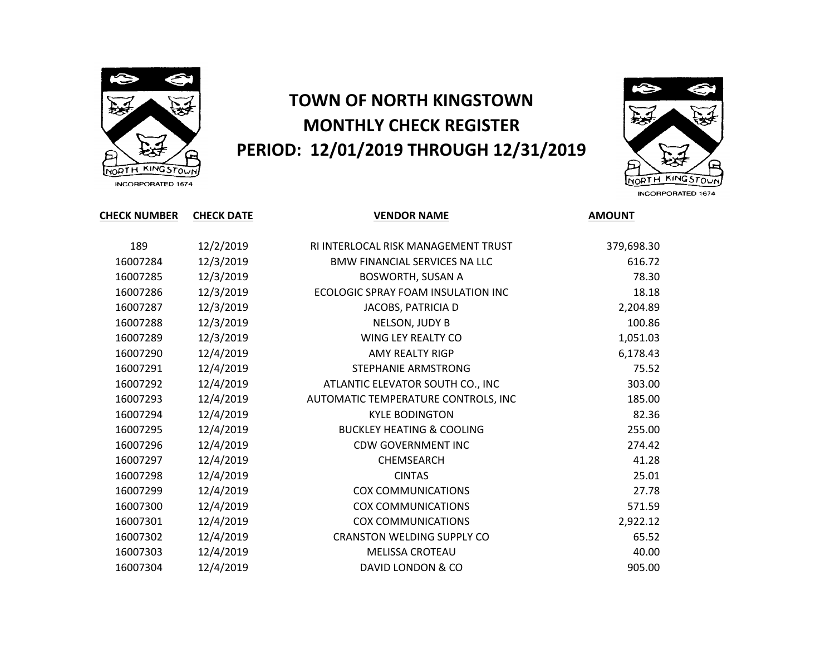

## **TOWN OF NORTH KINGSTOWN MONTHLY CHECK REGISTER PERIOD: 12/01/2019 THROUGH 12/31/2019**



INCORPORATED 1674

| <b>CHECK NUMBER</b> | <b>CHECK DATE</b> | <b>VENDOR NAME</b>                   | <b>AMOUNT</b> |
|---------------------|-------------------|--------------------------------------|---------------|
| 189                 | 12/2/2019         | RI INTERLOCAL RISK MANAGEMENT TRUST  | 379,698.30    |
| 16007284            | 12/3/2019         | <b>BMW FINANCIAL SERVICES NA LLC</b> | 616.72        |
| 16007285            | 12/3/2019         | <b>BOSWORTH, SUSAN A</b>             | 78.30         |
| 16007286            | 12/3/2019         | ECOLOGIC SPRAY FOAM INSULATION INC   | 18.18         |
| 16007287            | 12/3/2019         | JACOBS, PATRICIA D                   | 2,204.89      |
| 16007288            | 12/3/2019         | NELSON, JUDY B                       | 100.86        |
| 16007289            | 12/3/2019         | WING LEY REALTY CO                   | 1,051.03      |
| 16007290            | 12/4/2019         | <b>AMY REALTY RIGP</b>               | 6,178.43      |
| 16007291            | 12/4/2019         | STEPHANIE ARMSTRONG                  | 75.52         |
| 16007292            | 12/4/2019         | ATLANTIC ELEVATOR SOUTH CO., INC     | 303.00        |
| 16007293            | 12/4/2019         | AUTOMATIC TEMPERATURE CONTROLS, INC  | 185.00        |
| 16007294            | 12/4/2019         | <b>KYLE BODINGTON</b>                | 82.36         |
| 16007295            | 12/4/2019         | <b>BUCKLEY HEATING &amp; COOLING</b> | 255.00        |
| 16007296            | 12/4/2019         | <b>CDW GOVERNMENT INC</b>            | 274.42        |
| 16007297            | 12/4/2019         | CHEMSEARCH                           | 41.28         |
| 16007298            | 12/4/2019         | <b>CINTAS</b>                        | 25.01         |
| 16007299            | 12/4/2019         | <b>COX COMMUNICATIONS</b>            | 27.78         |
| 16007300            | 12/4/2019         | <b>COX COMMUNICATIONS</b>            | 571.59        |
| 16007301            | 12/4/2019         | <b>COX COMMUNICATIONS</b>            | 2,922.12      |
| 16007302            | 12/4/2019         | <b>CRANSTON WELDING SUPPLY CO</b>    | 65.52         |
| 16007303            | 12/4/2019         | <b>MELISSA CROTEAU</b>               | 40.00         |
| 16007304            | 12/4/2019         | DAVID LONDON & CO                    | 905.00        |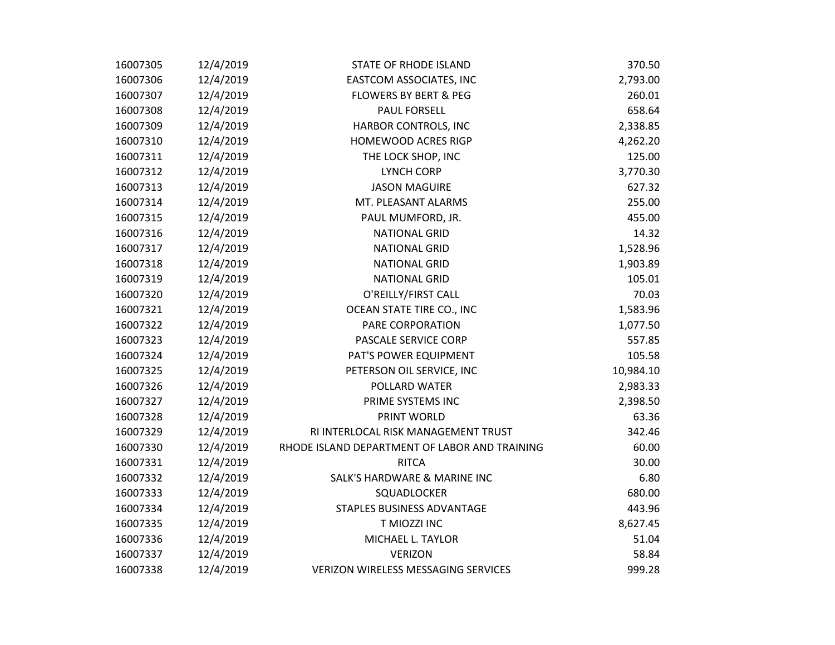| 16007305 | 12/4/2019 | <b>STATE OF RHODE ISLAND</b>                  | 370.50    |
|----------|-----------|-----------------------------------------------|-----------|
| 16007306 | 12/4/2019 | EASTCOM ASSOCIATES, INC                       | 2,793.00  |
| 16007307 | 12/4/2019 | <b>FLOWERS BY BERT &amp; PEG</b>              | 260.01    |
| 16007308 | 12/4/2019 | <b>PAUL FORSELL</b>                           | 658.64    |
| 16007309 | 12/4/2019 | HARBOR CONTROLS, INC                          | 2,338.85  |
| 16007310 | 12/4/2019 | HOMEWOOD ACRES RIGP                           | 4,262.20  |
| 16007311 | 12/4/2019 | THE LOCK SHOP, INC                            | 125.00    |
| 16007312 | 12/4/2019 | <b>LYNCH CORP</b>                             | 3,770.30  |
| 16007313 | 12/4/2019 | <b>JASON MAGUIRE</b>                          | 627.32    |
| 16007314 | 12/4/2019 | MT. PLEASANT ALARMS                           | 255.00    |
| 16007315 | 12/4/2019 | PAUL MUMFORD, JR.                             | 455.00    |
| 16007316 | 12/4/2019 | <b>NATIONAL GRID</b>                          | 14.32     |
| 16007317 | 12/4/2019 | <b>NATIONAL GRID</b>                          | 1,528.96  |
| 16007318 | 12/4/2019 | <b>NATIONAL GRID</b>                          | 1,903.89  |
| 16007319 | 12/4/2019 | <b>NATIONAL GRID</b>                          | 105.01    |
| 16007320 | 12/4/2019 | O'REILLY/FIRST CALL                           | 70.03     |
| 16007321 | 12/4/2019 | OCEAN STATE TIRE CO., INC                     | 1,583.96  |
| 16007322 | 12/4/2019 | PARE CORPORATION                              | 1,077.50  |
| 16007323 | 12/4/2019 | PASCALE SERVICE CORP                          | 557.85    |
| 16007324 | 12/4/2019 | PAT'S POWER EQUIPMENT                         | 105.58    |
| 16007325 | 12/4/2019 | PETERSON OIL SERVICE, INC                     | 10,984.10 |
| 16007326 | 12/4/2019 | POLLARD WATER                                 | 2,983.33  |
| 16007327 | 12/4/2019 | PRIME SYSTEMS INC                             | 2,398.50  |
| 16007328 | 12/4/2019 | PRINT WORLD                                   | 63.36     |
| 16007329 | 12/4/2019 | RI INTERLOCAL RISK MANAGEMENT TRUST           | 342.46    |
| 16007330 | 12/4/2019 | RHODE ISLAND DEPARTMENT OF LABOR AND TRAINING | 60.00     |
| 16007331 | 12/4/2019 | <b>RITCA</b>                                  | 30.00     |
| 16007332 | 12/4/2019 | <b>SALK'S HARDWARE &amp; MARINE INC</b>       | 6.80      |
| 16007333 | 12/4/2019 | SQUADLOCKER                                   | 680.00    |
| 16007334 | 12/4/2019 | STAPLES BUSINESS ADVANTAGE                    | 443.96    |
| 16007335 | 12/4/2019 | T MIOZZI INC                                  | 8,627.45  |
| 16007336 | 12/4/2019 | MICHAEL L. TAYLOR                             | 51.04     |
| 16007337 | 12/4/2019 | <b>VERIZON</b>                                | 58.84     |
| 16007338 | 12/4/2019 | <b>VERIZON WIRELESS MESSAGING SERVICES</b>    | 999.28    |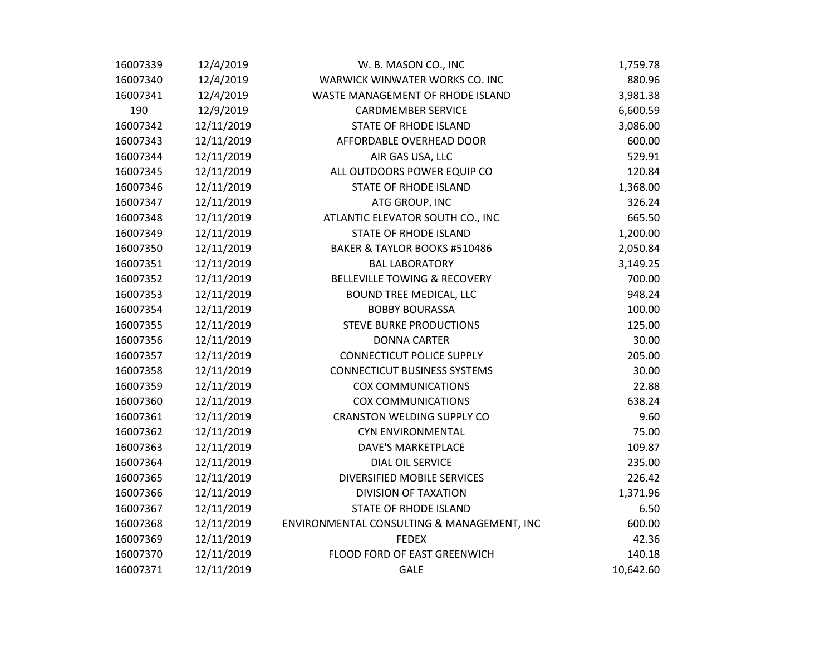| 16007339 | 12/4/2019  | W. B. MASON CO., INC                       | 1,759.78  |
|----------|------------|--------------------------------------------|-----------|
| 16007340 | 12/4/2019  | WARWICK WINWATER WORKS CO. INC             | 880.96    |
| 16007341 | 12/4/2019  | WASTE MANAGEMENT OF RHODE ISLAND           | 3,981.38  |
| 190      | 12/9/2019  | <b>CARDMEMBER SERVICE</b>                  | 6,600.59  |
| 16007342 | 12/11/2019 | <b>STATE OF RHODE ISLAND</b>               | 3,086.00  |
| 16007343 | 12/11/2019 | AFFORDABLE OVERHEAD DOOR                   | 600.00    |
| 16007344 | 12/11/2019 | AIR GAS USA, LLC                           | 529.91    |
| 16007345 | 12/11/2019 | ALL OUTDOORS POWER EQUIP CO                | 120.84    |
| 16007346 | 12/11/2019 | <b>STATE OF RHODE ISLAND</b>               | 1,368.00  |
| 16007347 | 12/11/2019 | ATG GROUP, INC                             | 326.24    |
| 16007348 | 12/11/2019 | ATLANTIC ELEVATOR SOUTH CO., INC           | 665.50    |
| 16007349 | 12/11/2019 | <b>STATE OF RHODE ISLAND</b>               | 1,200.00  |
| 16007350 | 12/11/2019 | BAKER & TAYLOR BOOKS #510486               | 2,050.84  |
| 16007351 | 12/11/2019 | <b>BAL LABORATORY</b>                      | 3,149.25  |
| 16007352 | 12/11/2019 | <b>BELLEVILLE TOWING &amp; RECOVERY</b>    | 700.00    |
| 16007353 | 12/11/2019 | <b>BOUND TREE MEDICAL, LLC</b>             | 948.24    |
| 16007354 | 12/11/2019 | <b>BOBBY BOURASSA</b>                      | 100.00    |
| 16007355 | 12/11/2019 | <b>STEVE BURKE PRODUCTIONS</b>             | 125.00    |
| 16007356 | 12/11/2019 | <b>DONNA CARTER</b>                        | 30.00     |
| 16007357 | 12/11/2019 | <b>CONNECTICUT POLICE SUPPLY</b>           | 205.00    |
| 16007358 | 12/11/2019 | <b>CONNECTICUT BUSINESS SYSTEMS</b>        | 30.00     |
| 16007359 | 12/11/2019 | <b>COX COMMUNICATIONS</b>                  | 22.88     |
| 16007360 | 12/11/2019 | <b>COX COMMUNICATIONS</b>                  | 638.24    |
| 16007361 | 12/11/2019 | <b>CRANSTON WELDING SUPPLY CO</b>          | 9.60      |
| 16007362 | 12/11/2019 | <b>CYN ENVIRONMENTAL</b>                   | 75.00     |
| 16007363 | 12/11/2019 | <b>DAVE'S MARKETPLACE</b>                  | 109.87    |
| 16007364 | 12/11/2019 | <b>DIAL OIL SERVICE</b>                    | 235.00    |
| 16007365 | 12/11/2019 | DIVERSIFIED MOBILE SERVICES                | 226.42    |
| 16007366 | 12/11/2019 | <b>DIVISION OF TAXATION</b>                | 1,371.96  |
| 16007367 | 12/11/2019 | <b>STATE OF RHODE ISLAND</b>               | 6.50      |
| 16007368 | 12/11/2019 | ENVIRONMENTAL CONSULTING & MANAGEMENT, INC | 600.00    |
| 16007369 | 12/11/2019 | <b>FEDEX</b>                               | 42.36     |
| 16007370 | 12/11/2019 | FLOOD FORD OF EAST GREENWICH               | 140.18    |
| 16007371 | 12/11/2019 | <b>GALE</b>                                | 10,642.60 |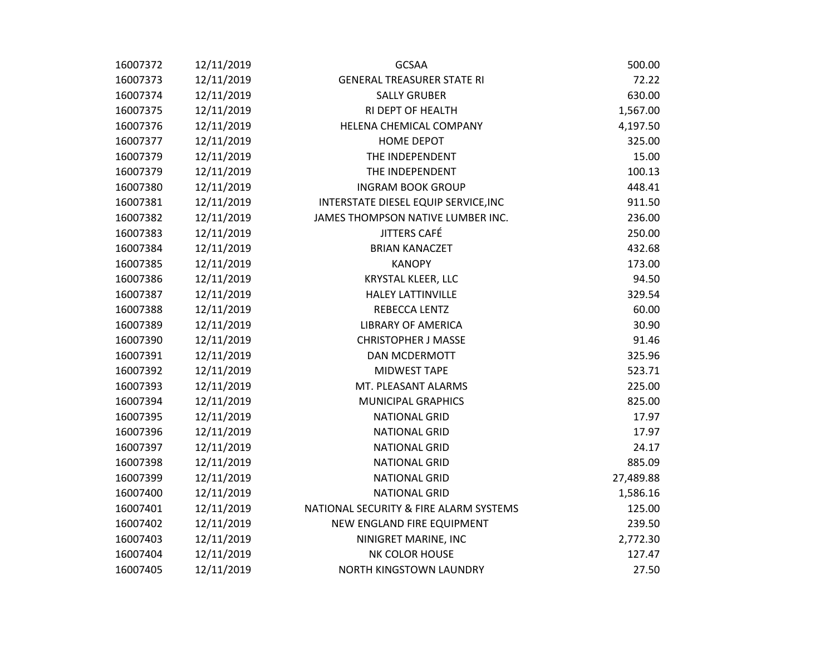| 16007372 | 12/11/2019 | <b>GCSAA</b>                           | 500.00    |
|----------|------------|----------------------------------------|-----------|
| 16007373 | 12/11/2019 | <b>GENERAL TREASURER STATE RI</b>      | 72.22     |
| 16007374 | 12/11/2019 | <b>SALLY GRUBER</b>                    | 630.00    |
| 16007375 | 12/11/2019 | RI DEPT OF HEALTH                      | 1,567.00  |
| 16007376 | 12/11/2019 | HELENA CHEMICAL COMPANY                | 4,197.50  |
| 16007377 | 12/11/2019 | <b>HOME DEPOT</b>                      | 325.00    |
| 16007379 | 12/11/2019 | THE INDEPENDENT                        | 15.00     |
| 16007379 | 12/11/2019 | THE INDEPENDENT                        | 100.13    |
| 16007380 | 12/11/2019 | <b>INGRAM BOOK GROUP</b>               | 448.41    |
| 16007381 | 12/11/2019 | INTERSTATE DIESEL EQUIP SERVICE, INC   | 911.50    |
| 16007382 | 12/11/2019 | JAMES THOMPSON NATIVE LUMBER INC.      | 236.00    |
| 16007383 | 12/11/2019 | JITTERS CAFÉ                           | 250.00    |
| 16007384 | 12/11/2019 | <b>BRIAN KANACZET</b>                  | 432.68    |
| 16007385 | 12/11/2019 | <b>KANOPY</b>                          | 173.00    |
| 16007386 | 12/11/2019 | KRYSTAL KLEER, LLC                     | 94.50     |
| 16007387 | 12/11/2019 | <b>HALEY LATTINVILLE</b>               | 329.54    |
| 16007388 | 12/11/2019 | REBECCA LENTZ                          | 60.00     |
| 16007389 | 12/11/2019 | <b>LIBRARY OF AMERICA</b>              | 30.90     |
| 16007390 | 12/11/2019 | <b>CHRISTOPHER J MASSE</b>             | 91.46     |
| 16007391 | 12/11/2019 | <b>DAN MCDERMOTT</b>                   | 325.96    |
| 16007392 | 12/11/2019 | MIDWEST TAPE                           | 523.71    |
| 16007393 | 12/11/2019 | MT. PLEASANT ALARMS                    | 225.00    |
| 16007394 | 12/11/2019 | <b>MUNICIPAL GRAPHICS</b>              | 825.00    |
| 16007395 | 12/11/2019 | <b>NATIONAL GRID</b>                   | 17.97     |
| 16007396 | 12/11/2019 | <b>NATIONAL GRID</b>                   | 17.97     |
| 16007397 | 12/11/2019 | <b>NATIONAL GRID</b>                   | 24.17     |
| 16007398 | 12/11/2019 | <b>NATIONAL GRID</b>                   | 885.09    |
| 16007399 | 12/11/2019 | <b>NATIONAL GRID</b>                   | 27,489.88 |
| 16007400 | 12/11/2019 | <b>NATIONAL GRID</b>                   | 1,586.16  |
| 16007401 | 12/11/2019 | NATIONAL SECURITY & FIRE ALARM SYSTEMS | 125.00    |
| 16007402 | 12/11/2019 | NEW ENGLAND FIRE EQUIPMENT             | 239.50    |
| 16007403 | 12/11/2019 | NINIGRET MARINE, INC                   | 2,772.30  |
| 16007404 | 12/11/2019 | NK COLOR HOUSE                         | 127.47    |
| 16007405 | 12/11/2019 | NORTH KINGSTOWN LAUNDRY                | 27.50     |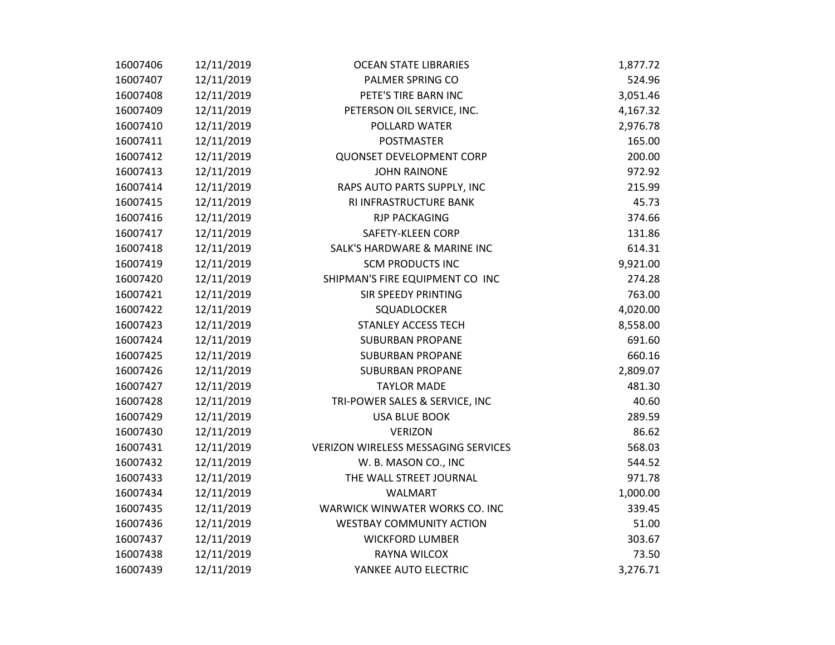| 16007406 | 12/11/2019 | <b>OCEAN STATE LIBRARIES</b>               | 1,877.72 |
|----------|------------|--------------------------------------------|----------|
| 16007407 | 12/11/2019 | PALMER SPRING CO                           | 524.96   |
| 16007408 | 12/11/2019 | PETE'S TIRE BARN INC                       | 3,051.46 |
| 16007409 | 12/11/2019 | PETERSON OIL SERVICE, INC.                 | 4,167.32 |
| 16007410 | 12/11/2019 | POLLARD WATER                              | 2,976.78 |
| 16007411 | 12/11/2019 | <b>POSTMASTER</b>                          | 165.00   |
| 16007412 | 12/11/2019 | <b>QUONSET DEVELOPMENT CORP</b>            | 200.00   |
| 16007413 | 12/11/2019 | <b>JOHN RAINONE</b>                        | 972.92   |
| 16007414 | 12/11/2019 | RAPS AUTO PARTS SUPPLY, INC                | 215.99   |
| 16007415 | 12/11/2019 | RI INFRASTRUCTURE BANK                     | 45.73    |
| 16007416 | 12/11/2019 | <b>RJP PACKAGING</b>                       | 374.66   |
| 16007417 | 12/11/2019 | SAFETY-KLEEN CORP                          | 131.86   |
| 16007418 | 12/11/2019 | <b>SALK'S HARDWARE &amp; MARINE INC</b>    | 614.31   |
| 16007419 | 12/11/2019 | <b>SCM PRODUCTS INC</b>                    | 9,921.00 |
| 16007420 | 12/11/2019 | SHIPMAN'S FIRE EQUIPMENT CO INC            | 274.28   |
| 16007421 | 12/11/2019 | <b>SIR SPEEDY PRINTING</b>                 | 763.00   |
| 16007422 | 12/11/2019 | SQUADLOCKER                                | 4,020.00 |
| 16007423 | 12/11/2019 | <b>STANLEY ACCESS TECH</b>                 | 8,558.00 |
| 16007424 | 12/11/2019 | <b>SUBURBAN PROPANE</b>                    | 691.60   |
| 16007425 | 12/11/2019 | <b>SUBURBAN PROPANE</b>                    | 660.16   |
| 16007426 | 12/11/2019 | <b>SUBURBAN PROPANE</b>                    | 2,809.07 |
| 16007427 | 12/11/2019 | <b>TAYLOR MADE</b>                         | 481.30   |
| 16007428 | 12/11/2019 | TRI-POWER SALES & SERVICE, INC             | 40.60    |
| 16007429 | 12/11/2019 | <b>USA BLUE BOOK</b>                       | 289.59   |
| 16007430 | 12/11/2019 | <b>VERIZON</b>                             | 86.62    |
| 16007431 | 12/11/2019 | <b>VERIZON WIRELESS MESSAGING SERVICES</b> | 568.03   |
| 16007432 | 12/11/2019 | W. B. MASON CO., INC                       | 544.52   |
| 16007433 | 12/11/2019 | THE WALL STREET JOURNAL                    | 971.78   |
| 16007434 | 12/11/2019 | <b>WALMART</b>                             | 1,000.00 |
| 16007435 | 12/11/2019 | WARWICK WINWATER WORKS CO. INC             | 339.45   |
| 16007436 | 12/11/2019 | <b>WESTBAY COMMUNITY ACTION</b>            | 51.00    |
| 16007437 | 12/11/2019 | <b>WICKFORD LUMBER</b>                     | 303.67   |
| 16007438 | 12/11/2019 | RAYNA WILCOX                               | 73.50    |
| 16007439 | 12/11/2019 | YANKEE AUTO ELECTRIC                       | 3,276.71 |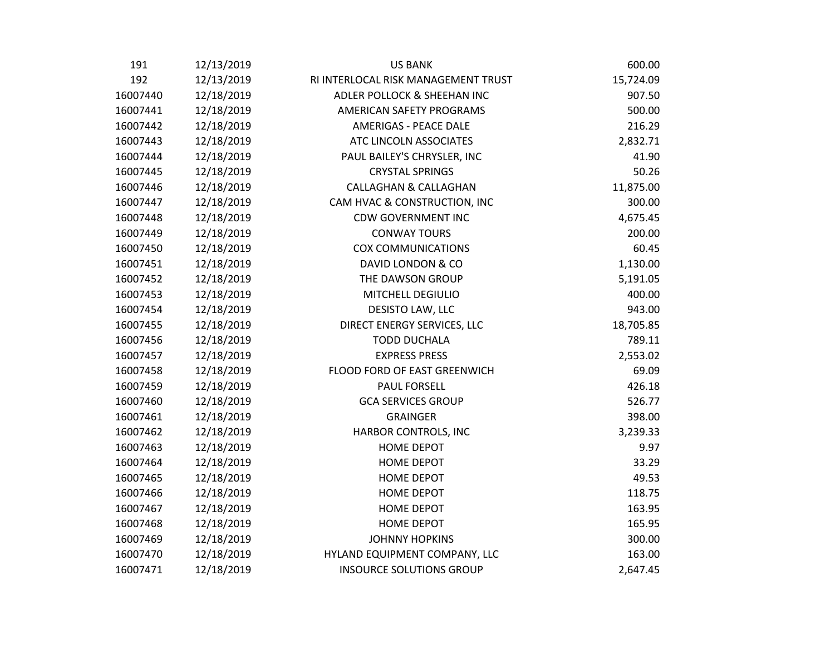| 191      | 12/13/2019 | <b>US BANK</b>                      | 600.00    |
|----------|------------|-------------------------------------|-----------|
| 192      | 12/13/2019 | RI INTERLOCAL RISK MANAGEMENT TRUST | 15,724.09 |
| 16007440 | 12/18/2019 | ADLER POLLOCK & SHEEHAN INC         | 907.50    |
| 16007441 | 12/18/2019 | AMERICAN SAFETY PROGRAMS            | 500.00    |
| 16007442 | 12/18/2019 | <b>AMERIGAS - PEACE DALE</b>        | 216.29    |
| 16007443 | 12/18/2019 | ATC LINCOLN ASSOCIATES              | 2,832.71  |
| 16007444 | 12/18/2019 | PAUL BAILEY'S CHRYSLER, INC         | 41.90     |
| 16007445 | 12/18/2019 | <b>CRYSTAL SPRINGS</b>              | 50.26     |
| 16007446 | 12/18/2019 | <b>CALLAGHAN &amp; CALLAGHAN</b>    | 11,875.00 |
| 16007447 | 12/18/2019 | CAM HVAC & CONSTRUCTION, INC        | 300.00    |
| 16007448 | 12/18/2019 | <b>CDW GOVERNMENT INC</b>           | 4,675.45  |
| 16007449 | 12/18/2019 | <b>CONWAY TOURS</b>                 | 200.00    |
| 16007450 | 12/18/2019 | <b>COX COMMUNICATIONS</b>           | 60.45     |
| 16007451 | 12/18/2019 | DAVID LONDON & CO                   | 1,130.00  |
| 16007452 | 12/18/2019 | THE DAWSON GROUP                    | 5,191.05  |
| 16007453 | 12/18/2019 | MITCHELL DEGIULIO                   | 400.00    |
| 16007454 | 12/18/2019 | DESISTO LAW, LLC                    | 943.00    |
| 16007455 | 12/18/2019 | DIRECT ENERGY SERVICES, LLC         | 18,705.85 |
| 16007456 | 12/18/2019 | <b>TODD DUCHALA</b>                 | 789.11    |
| 16007457 | 12/18/2019 | <b>EXPRESS PRESS</b>                | 2,553.02  |
| 16007458 | 12/18/2019 | FLOOD FORD OF EAST GREENWICH        | 69.09     |
| 16007459 | 12/18/2019 | <b>PAUL FORSELL</b>                 | 426.18    |
| 16007460 | 12/18/2019 | <b>GCA SERVICES GROUP</b>           | 526.77    |
| 16007461 | 12/18/2019 | <b>GRAINGER</b>                     | 398.00    |
| 16007462 | 12/18/2019 | HARBOR CONTROLS, INC                | 3,239.33  |
| 16007463 | 12/18/2019 | <b>HOME DEPOT</b>                   | 9.97      |
| 16007464 | 12/18/2019 | HOME DEPOT                          | 33.29     |
| 16007465 | 12/18/2019 | <b>HOME DEPOT</b>                   | 49.53     |
| 16007466 | 12/18/2019 | <b>HOME DEPOT</b>                   | 118.75    |
| 16007467 | 12/18/2019 | <b>HOME DEPOT</b>                   | 163.95    |
| 16007468 | 12/18/2019 | <b>HOME DEPOT</b>                   | 165.95    |
| 16007469 | 12/18/2019 | <b>JOHNNY HOPKINS</b>               | 300.00    |
| 16007470 | 12/18/2019 | HYLAND EQUIPMENT COMPANY, LLC       | 163.00    |
| 16007471 | 12/18/2019 | <b>INSOURCE SOLUTIONS GROUP</b>     | 2,647.45  |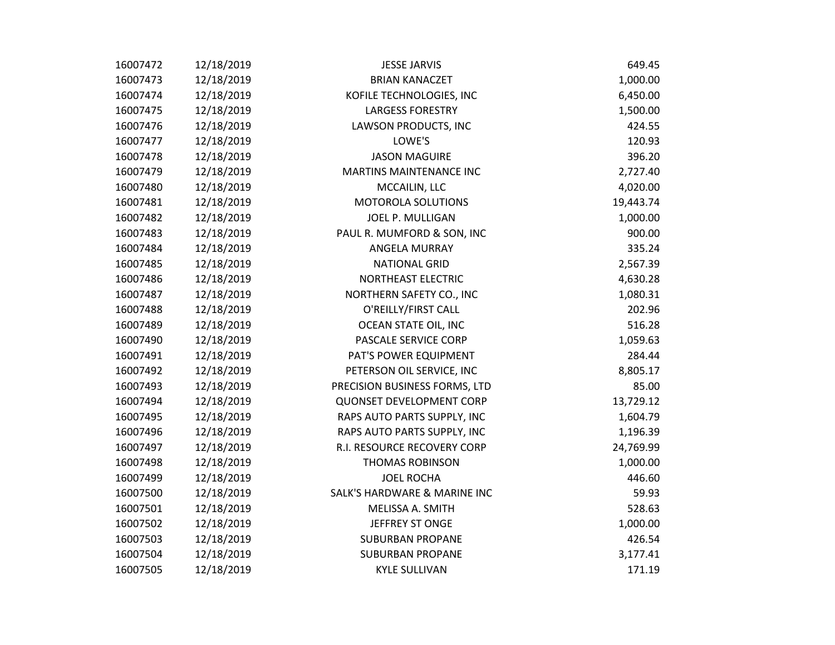| 16007472 | 12/18/2019 | <b>JESSE JARVIS</b>             | 649.45    |
|----------|------------|---------------------------------|-----------|
| 16007473 | 12/18/2019 | <b>BRIAN KANACZET</b>           | 1,000.00  |
| 16007474 | 12/18/2019 | KOFILE TECHNOLOGIES, INC        | 6,450.00  |
| 16007475 | 12/18/2019 | <b>LARGESS FORESTRY</b>         | 1,500.00  |
| 16007476 | 12/18/2019 | LAWSON PRODUCTS, INC            | 424.55    |
| 16007477 | 12/18/2019 | LOWE'S                          | 120.93    |
| 16007478 | 12/18/2019 | <b>JASON MAGUIRE</b>            | 396.20    |
| 16007479 | 12/18/2019 | MARTINS MAINTENANCE INC         | 2,727.40  |
| 16007480 | 12/18/2019 | MCCAILIN, LLC                   | 4,020.00  |
| 16007481 | 12/18/2019 | <b>MOTOROLA SOLUTIONS</b>       | 19,443.74 |
| 16007482 | 12/18/2019 | JOEL P. MULLIGAN                | 1,000.00  |
| 16007483 | 12/18/2019 | PAUL R. MUMFORD & SON, INC      | 900.00    |
| 16007484 | 12/18/2019 | <b>ANGELA MURRAY</b>            | 335.24    |
| 16007485 | 12/18/2019 | <b>NATIONAL GRID</b>            | 2,567.39  |
| 16007486 | 12/18/2019 | NORTHEAST ELECTRIC              | 4,630.28  |
| 16007487 | 12/18/2019 | NORTHERN SAFETY CO., INC        | 1,080.31  |
| 16007488 | 12/18/2019 | O'REILLY/FIRST CALL             | 202.96    |
| 16007489 | 12/18/2019 | OCEAN STATE OIL, INC            | 516.28    |
| 16007490 | 12/18/2019 | PASCALE SERVICE CORP            | 1,059.63  |
| 16007491 | 12/18/2019 | PAT'S POWER EQUIPMENT           | 284.44    |
| 16007492 | 12/18/2019 | PETERSON OIL SERVICE, INC       | 8,805.17  |
| 16007493 | 12/18/2019 | PRECISION BUSINESS FORMS, LTD   | 85.00     |
| 16007494 | 12/18/2019 | <b>QUONSET DEVELOPMENT CORP</b> | 13,729.12 |
| 16007495 | 12/18/2019 | RAPS AUTO PARTS SUPPLY, INC     | 1,604.79  |
| 16007496 | 12/18/2019 | RAPS AUTO PARTS SUPPLY, INC     | 1,196.39  |
| 16007497 | 12/18/2019 | R.I. RESOURCE RECOVERY CORP     | 24,769.99 |
| 16007498 | 12/18/2019 | <b>THOMAS ROBINSON</b>          | 1,000.00  |
| 16007499 | 12/18/2019 | <b>JOEL ROCHA</b>               | 446.60    |
| 16007500 | 12/18/2019 | SALK'S HARDWARE & MARINE INC    | 59.93     |
| 16007501 | 12/18/2019 | MELISSA A. SMITH                | 528.63    |
| 16007502 | 12/18/2019 | JEFFREY ST ONGE                 | 1,000.00  |
| 16007503 | 12/18/2019 | <b>SUBURBAN PROPANE</b>         | 426.54    |
| 16007504 | 12/18/2019 | <b>SUBURBAN PROPANE</b>         | 3,177.41  |
| 16007505 | 12/18/2019 | <b>KYLE SULLIVAN</b>            | 171.19    |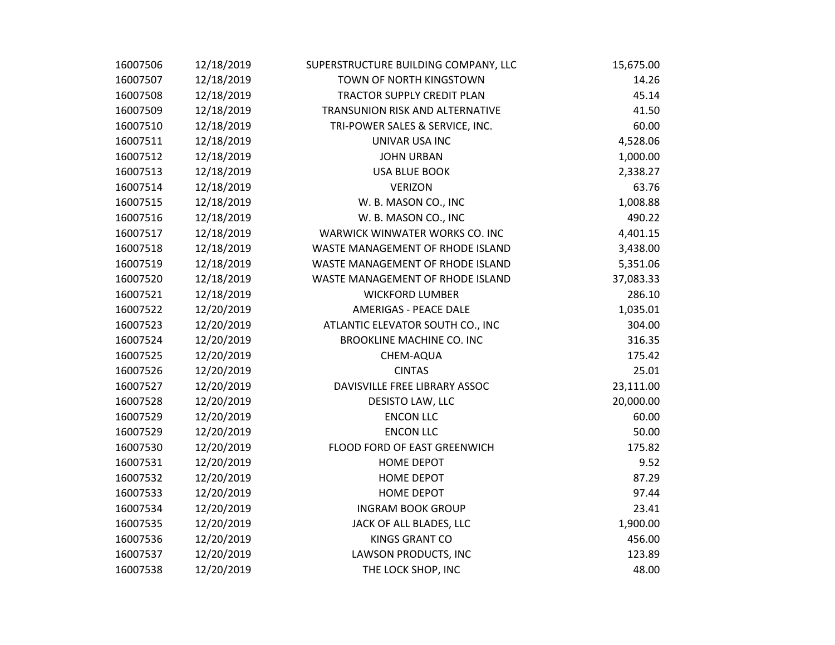| 16007506 | 12/18/2019 | SUPERSTRUCTURE BUILDING COMPANY, LLC | 15,675.00 |
|----------|------------|--------------------------------------|-----------|
| 16007507 | 12/18/2019 | TOWN OF NORTH KINGSTOWN              | 14.26     |
| 16007508 | 12/18/2019 | TRACTOR SUPPLY CREDIT PLAN           | 45.14     |
| 16007509 | 12/18/2019 | TRANSUNION RISK AND ALTERNATIVE      | 41.50     |
| 16007510 | 12/18/2019 | TRI-POWER SALES & SERVICE, INC.      | 60.00     |
| 16007511 | 12/18/2019 | UNIVAR USA INC                       | 4,528.06  |
| 16007512 | 12/18/2019 | <b>JOHN URBAN</b>                    | 1,000.00  |
| 16007513 | 12/18/2019 | <b>USA BLUE BOOK</b>                 | 2,338.27  |
| 16007514 | 12/18/2019 | <b>VERIZON</b>                       | 63.76     |
| 16007515 | 12/18/2019 | W. B. MASON CO., INC                 | 1,008.88  |
| 16007516 | 12/18/2019 | W. B. MASON CO., INC                 | 490.22    |
| 16007517 | 12/18/2019 | WARWICK WINWATER WORKS CO. INC       | 4,401.15  |
| 16007518 | 12/18/2019 | WASTE MANAGEMENT OF RHODE ISLAND     | 3,438.00  |
| 16007519 | 12/18/2019 | WASTE MANAGEMENT OF RHODE ISLAND     | 5,351.06  |
| 16007520 | 12/18/2019 | WASTE MANAGEMENT OF RHODE ISLAND     | 37,083.33 |
| 16007521 | 12/18/2019 | <b>WICKFORD LUMBER</b>               | 286.10    |
| 16007522 | 12/20/2019 | <b>AMERIGAS - PEACE DALE</b>         | 1,035.01  |
| 16007523 | 12/20/2019 | ATLANTIC ELEVATOR SOUTH CO., INC     | 304.00    |
| 16007524 | 12/20/2019 | <b>BROOKLINE MACHINE CO. INC</b>     | 316.35    |
| 16007525 | 12/20/2019 | CHEM-AQUA                            | 175.42    |
| 16007526 | 12/20/2019 | <b>CINTAS</b>                        | 25.01     |
| 16007527 | 12/20/2019 | DAVISVILLE FREE LIBRARY ASSOC        | 23,111.00 |
| 16007528 | 12/20/2019 | DESISTO LAW, LLC                     | 20,000.00 |
| 16007529 | 12/20/2019 | <b>ENCON LLC</b>                     | 60.00     |
| 16007529 | 12/20/2019 | <b>ENCON LLC</b>                     | 50.00     |
| 16007530 | 12/20/2019 | FLOOD FORD OF EAST GREENWICH         | 175.82    |
| 16007531 | 12/20/2019 | <b>HOME DEPOT</b>                    | 9.52      |
| 16007532 | 12/20/2019 | <b>HOME DEPOT</b>                    | 87.29     |
| 16007533 | 12/20/2019 | HOME DEPOT                           | 97.44     |
| 16007534 | 12/20/2019 | <b>INGRAM BOOK GROUP</b>             | 23.41     |
| 16007535 | 12/20/2019 | JACK OF ALL BLADES, LLC              | 1,900.00  |
| 16007536 | 12/20/2019 | <b>KINGS GRANT CO</b>                | 456.00    |
| 16007537 | 12/20/2019 | LAWSON PRODUCTS, INC                 | 123.89    |
| 16007538 | 12/20/2019 | THE LOCK SHOP, INC                   | 48.00     |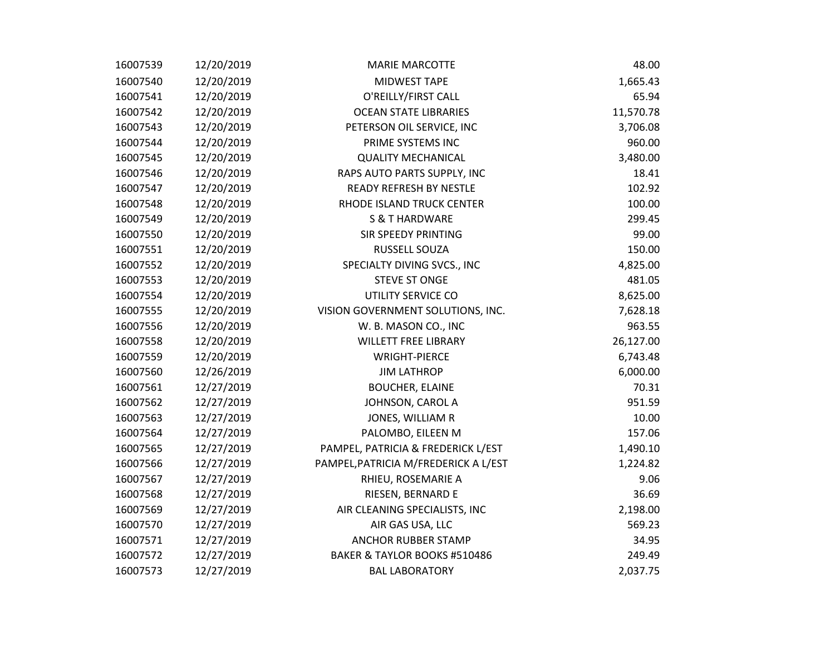| 16007539 | 12/20/2019 | <b>MARIE MARCOTTE</b>                | 48.00     |
|----------|------------|--------------------------------------|-----------|
| 16007540 | 12/20/2019 | MIDWEST TAPE                         | 1,665.43  |
| 16007541 | 12/20/2019 | O'REILLY/FIRST CALL                  | 65.94     |
| 16007542 | 12/20/2019 | <b>OCEAN STATE LIBRARIES</b>         | 11,570.78 |
| 16007543 | 12/20/2019 | PETERSON OIL SERVICE, INC            | 3,706.08  |
| 16007544 | 12/20/2019 | PRIME SYSTEMS INC                    | 960.00    |
| 16007545 | 12/20/2019 | <b>QUALITY MECHANICAL</b>            | 3,480.00  |
| 16007546 | 12/20/2019 | RAPS AUTO PARTS SUPPLY, INC          | 18.41     |
| 16007547 | 12/20/2019 | READY REFRESH BY NESTLE              | 102.92    |
| 16007548 | 12/20/2019 | RHODE ISLAND TRUCK CENTER            | 100.00    |
| 16007549 | 12/20/2019 | <b>S &amp; T HARDWARE</b>            | 299.45    |
| 16007550 | 12/20/2019 | SIR SPEEDY PRINTING                  | 99.00     |
| 16007551 | 12/20/2019 | RUSSELL SOUZA                        | 150.00    |
| 16007552 | 12/20/2019 | SPECIALTY DIVING SVCS., INC          | 4,825.00  |
| 16007553 | 12/20/2019 | <b>STEVE ST ONGE</b>                 | 481.05    |
| 16007554 | 12/20/2019 | UTILITY SERVICE CO                   | 8,625.00  |
| 16007555 | 12/20/2019 | VISION GOVERNMENT SOLUTIONS, INC.    | 7,628.18  |
| 16007556 | 12/20/2019 | W. B. MASON CO., INC                 | 963.55    |
| 16007558 | 12/20/2019 | <b>WILLETT FREE LIBRARY</b>          | 26,127.00 |
| 16007559 | 12/20/2019 | <b>WRIGHT-PIERCE</b>                 | 6,743.48  |
| 16007560 | 12/26/2019 | <b>JIM LATHROP</b>                   | 6,000.00  |
| 16007561 | 12/27/2019 | <b>BOUCHER, ELAINE</b>               | 70.31     |
| 16007562 | 12/27/2019 | JOHNSON, CAROL A                     | 951.59    |
| 16007563 | 12/27/2019 | JONES, WILLIAM R                     | 10.00     |
| 16007564 | 12/27/2019 | PALOMBO, EILEEN M                    | 157.06    |
| 16007565 | 12/27/2019 | PAMPEL, PATRICIA & FREDERICK L/EST   | 1,490.10  |
| 16007566 | 12/27/2019 | PAMPEL, PATRICIA M/FREDERICK A L/EST | 1,224.82  |
| 16007567 | 12/27/2019 | RHIEU, ROSEMARIE A                   | 9.06      |
| 16007568 | 12/27/2019 | RIESEN, BERNARD E                    | 36.69     |
| 16007569 | 12/27/2019 | AIR CLEANING SPECIALISTS, INC        | 2,198.00  |
| 16007570 | 12/27/2019 | AIR GAS USA, LLC                     | 569.23    |
| 16007571 | 12/27/2019 | <b>ANCHOR RUBBER STAMP</b>           | 34.95     |
| 16007572 | 12/27/2019 | BAKER & TAYLOR BOOKS #510486         | 249.49    |
| 16007573 | 12/27/2019 | <b>BAL LABORATORY</b>                | 2,037.75  |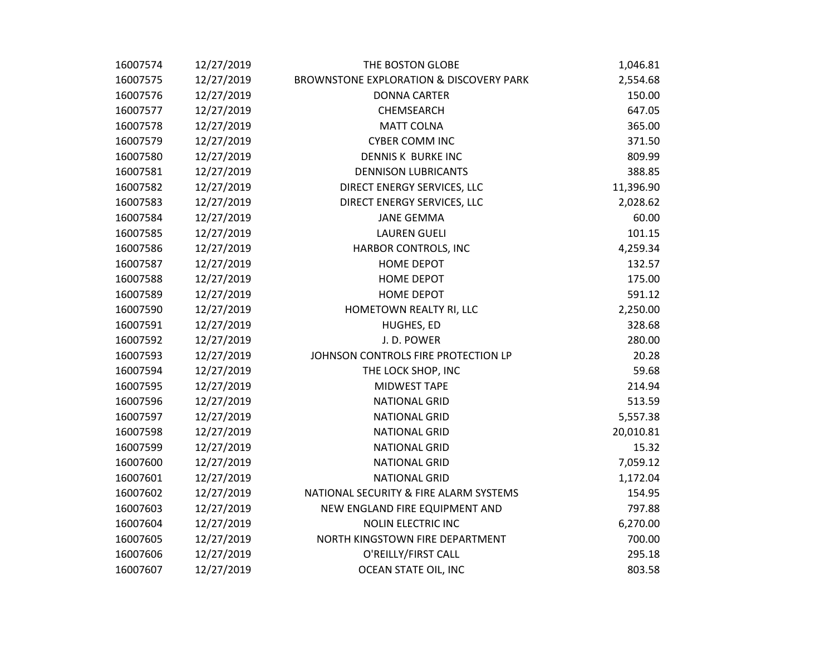| 16007574 | 12/27/2019 | THE BOSTON GLOBE                                   | 1,046.81  |
|----------|------------|----------------------------------------------------|-----------|
| 16007575 | 12/27/2019 | <b>BROWNSTONE EXPLORATION &amp; DISCOVERY PARK</b> | 2,554.68  |
| 16007576 | 12/27/2019 | <b>DONNA CARTER</b>                                | 150.00    |
| 16007577 | 12/27/2019 | CHEMSEARCH                                         | 647.05    |
| 16007578 | 12/27/2019 | <b>MATT COLNA</b>                                  | 365.00    |
| 16007579 | 12/27/2019 | <b>CYBER COMM INC</b>                              | 371.50    |
| 16007580 | 12/27/2019 | DENNIS K BURKE INC                                 | 809.99    |
| 16007581 | 12/27/2019 | <b>DENNISON LUBRICANTS</b>                         | 388.85    |
| 16007582 | 12/27/2019 | DIRECT ENERGY SERVICES, LLC                        | 11,396.90 |
| 16007583 | 12/27/2019 | DIRECT ENERGY SERVICES, LLC                        | 2,028.62  |
| 16007584 | 12/27/2019 | <b>JANE GEMMA</b>                                  | 60.00     |
| 16007585 | 12/27/2019 | <b>LAUREN GUELI</b>                                | 101.15    |
| 16007586 | 12/27/2019 | HARBOR CONTROLS, INC                               | 4,259.34  |
| 16007587 | 12/27/2019 | <b>HOME DEPOT</b>                                  | 132.57    |
| 16007588 | 12/27/2019 | HOME DEPOT                                         | 175.00    |
| 16007589 | 12/27/2019 | <b>HOME DEPOT</b>                                  | 591.12    |
| 16007590 | 12/27/2019 | HOMETOWN REALTY RI, LLC                            | 2,250.00  |
| 16007591 | 12/27/2019 | HUGHES, ED                                         | 328.68    |
| 16007592 | 12/27/2019 | J.D. POWER                                         | 280.00    |
| 16007593 | 12/27/2019 | JOHNSON CONTROLS FIRE PROTECTION LP                | 20.28     |
| 16007594 | 12/27/2019 | THE LOCK SHOP, INC                                 | 59.68     |
| 16007595 | 12/27/2019 | MIDWEST TAPE                                       | 214.94    |
| 16007596 | 12/27/2019 | <b>NATIONAL GRID</b>                               | 513.59    |
| 16007597 | 12/27/2019 | <b>NATIONAL GRID</b>                               | 5,557.38  |
| 16007598 | 12/27/2019 | <b>NATIONAL GRID</b>                               | 20,010.81 |
| 16007599 | 12/27/2019 | <b>NATIONAL GRID</b>                               | 15.32     |
| 16007600 | 12/27/2019 | <b>NATIONAL GRID</b>                               | 7,059.12  |
| 16007601 | 12/27/2019 | <b>NATIONAL GRID</b>                               | 1,172.04  |
| 16007602 | 12/27/2019 | NATIONAL SECURITY & FIRE ALARM SYSTEMS             | 154.95    |
| 16007603 | 12/27/2019 | NEW ENGLAND FIRE EQUIPMENT AND                     | 797.88    |
| 16007604 | 12/27/2019 | <b>NOLIN ELECTRIC INC</b>                          | 6,270.00  |
| 16007605 | 12/27/2019 | NORTH KINGSTOWN FIRE DEPARTMENT                    | 700.00    |
| 16007606 | 12/27/2019 | O'REILLY/FIRST CALL                                | 295.18    |
| 16007607 | 12/27/2019 | OCEAN STATE OIL, INC                               | 803.58    |